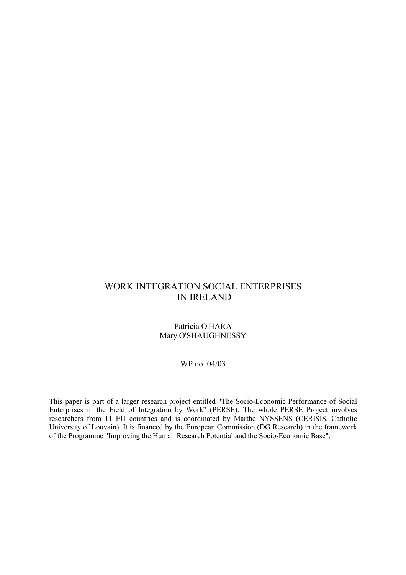## WORK INTEGRATION SOCIAL ENTERPRISES IN IRELAND

#### Patricia O'HARA Mary O'SHAUGHNESSY

#### WP no. 04/03

This paper is part of a larger research project entitled "The Socio-Economic Performance of Social Enterprises in the Field of Integration by Work" (PERSE). The whole PERSE Project involves researchers from 11 EU countries and is coordinated by Marthe NYSSENS (CERISIS, Catholic University of Louvain). It is financed by the European Commission (DG Research) in the framework of the Programme "Improving the Human Research Potential and the Socio-Economic Base".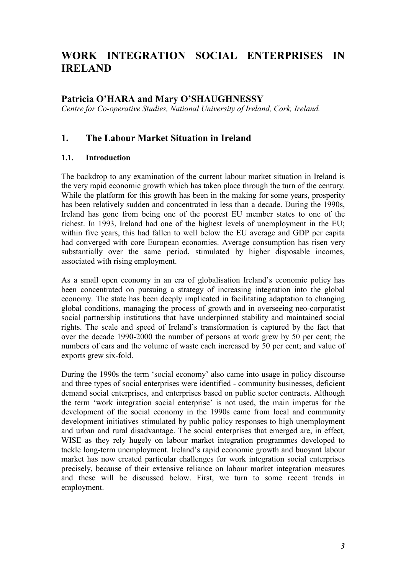# WORK INTEGRATION SOCIAL ENTERPRISES IN IRELAND

## Patricia O'HARA and Mary O'SHAUGHNESSY

Centre for Co-operative Studies, National University of Ireland, Cork, Ireland.

## 1. The Labour Market Situation in Ireland

#### 1.1. Introduction

The backdrop to any examination of the current labour market situation in Ireland is the very rapid economic growth which has taken place through the turn of the century. While the platform for this growth has been in the making for some years, prosperity has been relatively sudden and concentrated in less than a decade. During the 1990s, Ireland has gone from being one of the poorest EU member states to one of the richest. In 1993, Ireland had one of the highest levels of unemployment in the EU; within five years, this had fallen to well below the EU average and GDP per capita had converged with core European economies. Average consumption has risen very substantially over the same period, stimulated by higher disposable incomes, associated with rising employment.

As a small open economy in an era of globalisation Ireland's economic policy has been concentrated on pursuing a strategy of increasing integration into the global economy. The state has been deeply implicated in facilitating adaptation to changing global conditions, managing the process of growth and in overseeing neo-corporatist social partnership institutions that have underpinned stability and maintained social rights. The scale and speed of Ireland's transformation is captured by the fact that over the decade 1990-2000 the number of persons at work grew by 50 per cent; the numbers of cars and the volume of waste each increased by 50 per cent; and value of exports grew six-fold.

During the 1990s the term 'social economy' also came into usage in policy discourse and three types of social enterprises were identified - community businesses, deficient demand social enterprises, and enterprises based on public sector contracts. Although the term 'work integration social enterprise' is not used, the main impetus for the development of the social economy in the 1990s came from local and community development initiatives stimulated by public policy responses to high unemployment and urban and rural disadvantage. The social enterprises that emerged are, in effect, WISE as they rely hugely on labour market integration programmes developed to tackle long-term unemployment. Ireland's rapid economic growth and buoyant labour market has now created particular challenges for work integration social enterprises precisely, because of their extensive reliance on labour market integration measures and these will be discussed below. First, we turn to some recent trends in employment.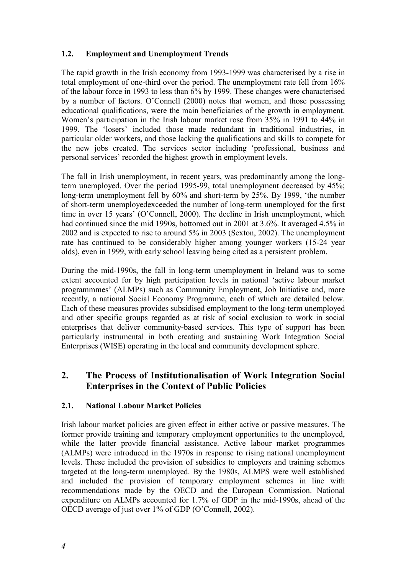### 1.2. Employment and Unemployment Trends

The rapid growth in the Irish economy from 1993-1999 was characterised by a rise in total employment of one-third over the period. The unemployment rate fell from 16% of the labour force in 1993 to less than 6% by 1999. These changes were characterised by a number of factors. O'Connell (2000) notes that women, and those possessing educational qualifications, were the main beneficiaries of the growth in employment. Women's participation in the Irish labour market rose from 35% in 1991 to 44% in 1999. The 'losers' included those made redundant in traditional industries, in particular older workers, and those lacking the qualifications and skills to compete for the new jobs created. The services sector including 'professional, business and personal services' recorded the highest growth in employment levels.

The fall in Irish unemployment, in recent years, was predominantly among the longterm unemployed. Over the period 1995-99, total unemployment decreased by 45%; long-term unemployment fell by 60% and short-term by 25%. By 1999, 'the number of short-term unemployedexceeded the number of long-term unemployed for the first time in over 15 years' (O'Connell, 2000). The decline in Irish unemployment, which had continued since the mid 1990s, bottomed out in 2001 at 3.6%. It averaged 4.5% in 2002 and is expected to rise to around 5% in 2003 (Sexton, 2002). The unemployment rate has continued to be considerably higher among younger workers (15-24 year olds), even in 1999, with early school leaving being cited as a persistent problem.

During the mid-1990s, the fall in long-term unemployment in Ireland was to some extent accounted for by high participation levels in national 'active labour market programmmes' (ALMPs) such as Community Employment, Job Initiative and, more recently, a national Social Economy Programme, each of which are detailed below. Each of these measures provides subsidised employment to the long-term unemployed and other specific groups regarded as at risk of social exclusion to work in social enterprises that deliver community-based services. This type of support has been particularly instrumental in both creating and sustaining Work Integration Social Enterprises (WISE) operating in the local and community development sphere.

## 2. The Process of Institutionalisation of Work Integration Social Enterprises in the Context of Public Policies

#### 2.1. National Labour Market Policies

Irish labour market policies are given effect in either active or passive measures. The former provide training and temporary employment opportunities to the unemployed, while the latter provide financial assistance. Active labour market programmes (ALMPs) were introduced in the 1970s in response to rising national unemployment levels. These included the provision of subsidies to employers and training schemes targeted at the long-term unemployed. By the 1980s, ALMPS were well established and included the provision of temporary employment schemes in line with recommendations made by the OECD and the European Commission. National expenditure on ALMPs accounted for 1.7% of GDP in the mid-1990s, ahead of the OECD average of just over 1% of GDP (O'Connell, 2002).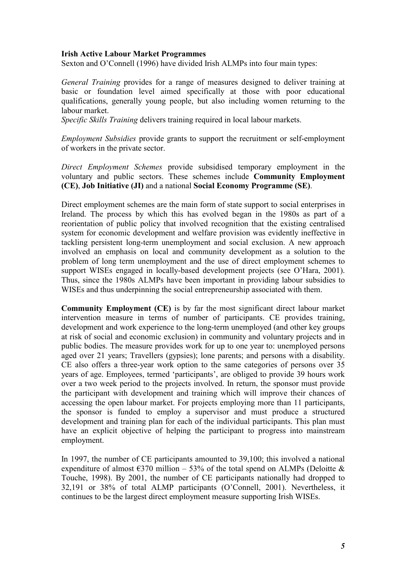#### Irish Active Labour Market Programmes

Sexton and O'Connell (1996) have divided Irish ALMPs into four main types:

General Training provides for a range of measures designed to deliver training at basic or foundation level aimed specifically at those with poor educational qualifications, generally young people, but also including women returning to the labour market.

Specific Skills Training delivers training required in local labour markets.

Employment Subsidies provide grants to support the recruitment or self-employment of workers in the private sector.

Direct Employment Schemes provide subsidised temporary employment in the voluntary and public sectors. These schemes include Community Employment (CE), Job Initiative (JI) and a national Social Economy Programme (SE).

Direct employment schemes are the main form of state support to social enterprises in Ireland. The process by which this has evolved began in the 1980s as part of a reorientation of public policy that involved recognition that the existing centralised system for economic development and welfare provision was evidently ineffective in tackling persistent long-term unemployment and social exclusion. A new approach involved an emphasis on local and community development as a solution to the problem of long term unemployment and the use of direct employment schemes to support WISEs engaged in locally-based development projects (see O'Hara, 2001). Thus, since the 1980s ALMPs have been important in providing labour subsidies to WISEs and thus underpinning the social entrepreneurship associated with them.

Community Employment (CE) is by far the most significant direct labour market intervention measure in terms of number of participants. CE provides training, development and work experience to the long-term unemployed (and other key groups at risk of social and economic exclusion) in community and voluntary projects and in public bodies. The measure provides work for up to one year to: unemployed persons aged over 21 years; Travellers (gypsies); lone parents; and persons with a disability. CE also offers a three-year work option to the same categories of persons over 35 years of age. Employees, termed 'participants', are obliged to provide 39 hours work over a two week period to the projects involved. In return, the sponsor must provide the participant with development and training which will improve their chances of accessing the open labour market. For projects employing more than 11 participants, the sponsor is funded to employ a supervisor and must produce a structured development and training plan for each of the individual participants. This plan must have an explicit objective of helping the participant to progress into mainstream employment.

In 1997, the number of CE participants amounted to 39,100; this involved a national expenditure of almost  $\epsilon$ 370 million – 53% of the total spend on ALMPs (Deloitte & Touche, 1998). By 2001, the number of CE participants nationally had dropped to 32,191 or 38% of total ALMP participants (O'Connell, 2001). Nevertheless, it continues to be the largest direct employment measure supporting Irish WISEs.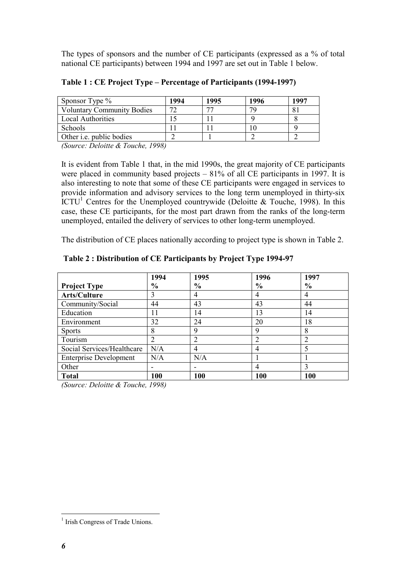The types of sponsors and the number of CE participants (expressed as a % of total national CE participants) between 1994 and 1997 are set out in Table 1 below.

| Sponsor Type $\%$                 | 1994 | 1995 | 1996 | 1997 |
|-----------------------------------|------|------|------|------|
| <b>Voluntary Community Bodies</b> | רת   |      |      |      |
| <b>Local Authorities</b>          |      |      |      |      |
| Schools                           |      |      |      |      |
| Other <i>i.e.</i> public bodies   |      |      |      |      |

Table 1 : CE Project Type – Percentage of Participants (1994-1997)

(Source: Deloitte & Touche, 1998)

It is evident from Table 1 that, in the mid 1990s, the great majority of CE participants were placed in community based projects – 81% of all CE participants in 1997. It is also interesting to note that some of these CE participants were engaged in services to provide information and advisory services to the long term unemployed in thirty-six ICTU<sup>1</sup> Centres for the Unemployed countrywide (Deloitte & Touche, 1998). In this case, these CE participants, for the most part drawn from the ranks of the long-term unemployed, entailed the delivery of services to other long-term unemployed.

The distribution of CE places nationally according to project type is shown in Table 2.

|                               | 1994                                         | 1995           | 1996          | 1997           |
|-------------------------------|----------------------------------------------|----------------|---------------|----------------|
| <b>Project Type</b>           | $\frac{6}{6}$                                | $\frac{6}{6}$  | $\frac{6}{6}$ | $\frac{6}{6}$  |
| Arts/Culture                  | 3                                            | 4              |               | 4              |
| Community/Social              | 44                                           | 43             | 43            | 44             |
| Education                     | 11                                           | 14             | 13            | 14             |
| Environment                   | 32                                           | 24             | 20            | 18             |
| <b>Sports</b>                 | 8                                            | 9              | q             | 8              |
| Tourism                       | $\overline{2}$                               | $\overline{2}$ |               | $\overline{2}$ |
| Social Services/Healthcare    | N/A                                          | 4              | 4             | 5              |
| <b>Enterprise Development</b> | N/A                                          | N/A            |               |                |
| Other                         |                                              |                | 4             | 3              |
| <b>Total</b><br>$\sim$        | 100<br>$\rightarrow$ $\land$ $\land$ $\land$ | 100            | 100           | 100            |

#### Table 2 : Distribution of CE Participants by Project Type 1994-97

(Source: Deloitte & Touche, 1998)

 $\overline{a}$ 

<sup>&</sup>lt;sup>1</sup> Irish Congress of Trade Unions.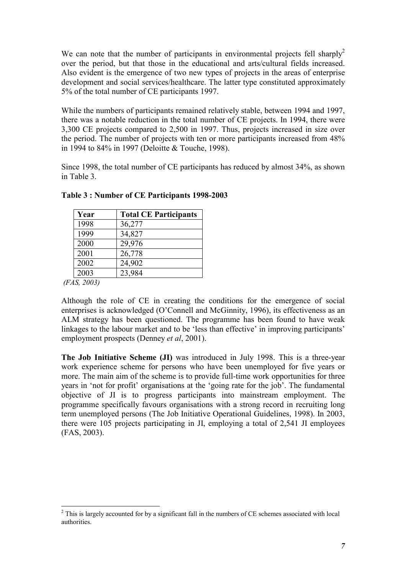We can note that the number of participants in environmental projects fell sharply<sup>2</sup> over the period, but that those in the educational and arts/cultural fields increased. Also evident is the emergence of two new types of projects in the areas of enterprise development and social services/healthcare. The latter type constituted approximately 5% of the total number of CE participants 1997.

While the numbers of participants remained relatively stable, between 1994 and 1997, there was a notable reduction in the total number of CE projects. In 1994, there were 3,300 CE projects compared to 2,500 in 1997. Thus, projects increased in size over the period. The number of projects with ten or more participants increased from 48% in 1994 to 84% in 1997 (Deloitte & Touche, 1998).

Since 1998, the total number of CE participants has reduced by almost 34%, as shown in Table 3.

| Year | <b>Total CE Participants</b> |
|------|------------------------------|
| 1998 | 36,277                       |
| 1999 | 34,827                       |
| 2000 | 29,976                       |
| 2001 | 26,778                       |
| 2002 | 24,902                       |
| 2003 | 23,984                       |

Table 3 : Number of CE Participants 1998-2003

(FAS, 2003)

Although the role of CE in creating the conditions for the emergence of social enterprises is acknowledged (O'Connell and McGinnity, 1996), its effectiveness as an ALM strategy has been questioned. The programme has been found to have weak linkages to the labour market and to be 'less than effective' in improving participants' employment prospects (Denney *et al*, 2001).

The Job Initiative Scheme (JI) was introduced in July 1998. This is a three-year work experience scheme for persons who have been unemployed for five years or more. The main aim of the scheme is to provide full-time work opportunities for three years in 'not for profit' organisations at the 'going rate for the job'. The fundamental objective of JI is to progress participants into mainstream employment. The programme specifically favours organisations with a strong record in recruiting long term unemployed persons (The Job Initiative Operational Guidelines, 1998). In 2003, there were 105 projects participating in JI, employing a total of 2,541 JI employees (FAS, 2003).

 $\overline{a}$  $2$  This is largely accounted for by a significant fall in the numbers of CE schemes associated with local authorities.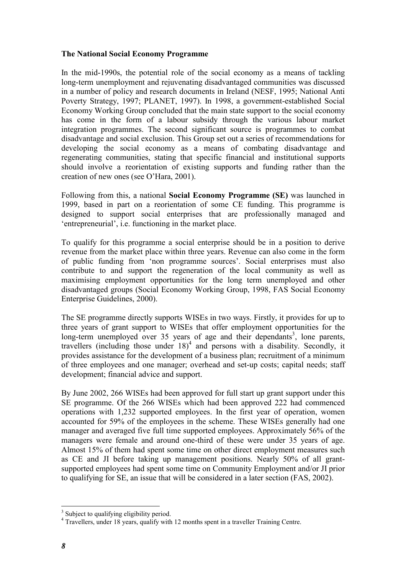#### The National Social Economy Programme

In the mid-1990s, the potential role of the social economy as a means of tackling long-term unemployment and rejuvenating disadvantaged communities was discussed in a number of policy and research documents in Ireland (NESF, 1995; National Anti Poverty Strategy, 1997; PLANET, 1997). In 1998, a government-established Social Economy Working Group concluded that the main state support to the social economy has come in the form of a labour subsidy through the various labour market integration programmes. The second significant source is programmes to combat disadvantage and social exclusion. This Group set out a series of recommendations for developing the social economy as a means of combating disadvantage and regenerating communities, stating that specific financial and institutional supports should involve a reorientation of existing supports and funding rather than the creation of new ones (see O'Hara, 2001).

Following from this, a national Social Economy Programme (SE) was launched in 1999, based in part on a reorientation of some CE funding. This programme is designed to support social enterprises that are professionally managed and 'entrepreneurial', i.e. functioning in the market place.

To qualify for this programme a social enterprise should be in a position to derive revenue from the market place within three years. Revenue can also come in the form of public funding from 'non programme sources'. Social enterprises must also contribute to and support the regeneration of the local community as well as maximising employment opportunities for the long term unemployed and other disadvantaged groups (Social Economy Working Group, 1998, FAS Social Economy Enterprise Guidelines, 2000).

The SE programme directly supports WISEs in two ways. Firstly, it provides for up to three years of grant support to WISEs that offer employment opportunities for the long-term unemployed over 35 years of age and their dependants<sup>3</sup>, lone parents, travellers (including those under  $18)^4$  and persons with a disability. Secondly, it provides assistance for the development of a business plan; recruitment of a minimum of three employees and one manager; overhead and set-up costs; capital needs; staff development; financial advice and support.

By June 2002, 266 WISEs had been approved for full start up grant support under this SE programme. Of the 266 WISEs which had been approved 222 had commenced operations with 1,232 supported employees. In the first year of operation, women accounted for 59% of the employees in the scheme. These WISEs generally had one manager and averaged five full time supported employees. Approximately 56% of the managers were female and around one-third of these were under 35 years of age. Almost 15% of them had spent some time on other direct employment measures such as CE and JI before taking up management positions. Nearly 50% of all grantsupported employees had spent some time on Community Employment and/or JI prior to qualifying for SE, an issue that will be considered in a later section (FAS, 2002).

<sup>&</sup>lt;sup>3</sup> Subject to qualifying eligibility period.

<sup>&</sup>lt;sup>4</sup> Travellers, under 18 years, qualify with 12 months spent in a traveller Training Centre.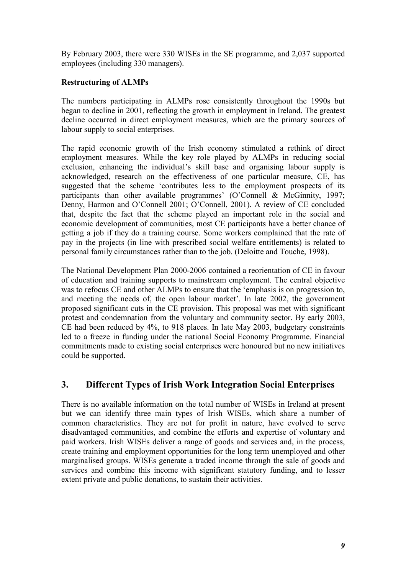By February 2003, there were 330 WISEs in the SE programme, and 2,037 supported employees (including 330 managers).

#### Restructuring of ALMPs

The numbers participating in ALMPs rose consistently throughout the 1990s but began to decline in 2001, reflecting the growth in employment in Ireland. The greatest decline occurred in direct employment measures, which are the primary sources of labour supply to social enterprises.

The rapid economic growth of the Irish economy stimulated a rethink of direct employment measures. While the key role played by ALMPs in reducing social exclusion, enhancing the individual's skill base and organising labour supply is acknowledged, research on the effectiveness of one particular measure, CE, has suggested that the scheme 'contributes less to the employment prospects of its participants than other available programmes' (O'Connell & McGinnity, 1997; Denny, Harmon and O'Connell 2001; O'Connell, 2001). A review of CE concluded that, despite the fact that the scheme played an important role in the social and economic development of communities, most CE participants have a better chance of getting a job if they do a training course. Some workers complained that the rate of pay in the projects (in line with prescribed social welfare entitlements) is related to personal family circumstances rather than to the job. (Deloitte and Touche, 1998).

The National Development Plan 2000-2006 contained a reorientation of CE in favour of education and training supports to mainstream employment. The central objective was to refocus CE and other ALMPs to ensure that the 'emphasis is on progression to, and meeting the needs of, the open labour market'. In late 2002, the government proposed significant cuts in the CE provision. This proposal was met with significant protest and condemnation from the voluntary and community sector. By early 2003, CE had been reduced by 4%, to 918 places. In late May 2003, budgetary constraints led to a freeze in funding under the national Social Economy Programme. Financial commitments made to existing social enterprises were honoured but no new initiatives could be supported.

## 3. Different Types of Irish Work Integration Social Enterprises

There is no available information on the total number of WISEs in Ireland at present but we can identify three main types of Irish WISEs, which share a number of common characteristics. They are not for profit in nature, have evolved to serve disadvantaged communities, and combine the efforts and expertise of voluntary and paid workers. Irish WISEs deliver a range of goods and services and, in the process, create training and employment opportunities for the long term unemployed and other marginalised groups. WISEs generate a traded income through the sale of goods and services and combine this income with significant statutory funding, and to lesser extent private and public donations, to sustain their activities.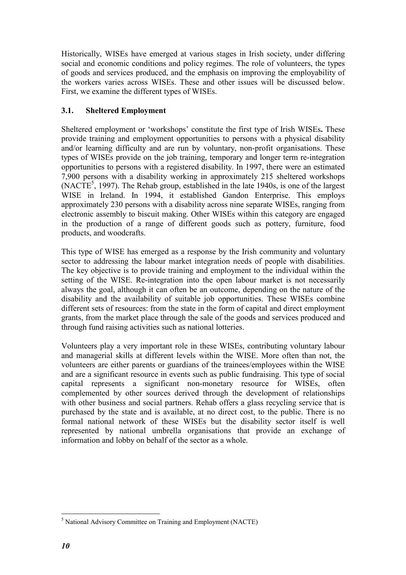Historically, WISEs have emerged at various stages in Irish society, under differing social and economic conditions and policy regimes. The role of volunteers, the types of goods and services produced, and the emphasis on improving the employability of the workers varies across WISEs. These and other issues will be discussed below. First, we examine the different types of WISEs.

### 3.1. Sheltered Employment

Sheltered employment or 'workshops' constitute the first type of Irish WISEs. These provide training and employment opportunities to persons with a physical disability and/or learning difficulty and are run by voluntary, non-profit organisations. These types of WISEs provide on the job training, temporary and longer term re-integration opportunities to persons with a registered disability. In 1997, there were an estimated 7,900 persons with a disability working in approximately 215 sheltered workshops  $(NACTE<sup>5</sup>, 1997)$ . The Rehab group, established in the late 1940s, is one of the largest WISE in Ireland. In 1994, it established Gandon Enterprise. This employs approximately 230 persons with a disability across nine separate WISEs, ranging from electronic assembly to biscuit making. Other WISEs within this category are engaged in the production of a range of different goods such as pottery, furniture, food products, and woodcrafts.

This type of WISE has emerged as a response by the Irish community and voluntary sector to addressing the labour market integration needs of people with disabilities. The key objective is to provide training and employment to the individual within the setting of the WISE. Re-integration into the open labour market is not necessarily always the goal, although it can often be an outcome, depending on the nature of the disability and the availability of suitable job opportunities. These WISEs combine different sets of resources: from the state in the form of capital and direct employment grants, from the market place through the sale of the goods and services produced and through fund raising activities such as national lotteries.

Volunteers play a very important role in these WISEs, contributing voluntary labour and managerial skills at different levels within the WISE. More often than not, the volunteers are either parents or guardians of the trainees/employees within the WISE and are a significant resource in events such as public fundraising. This type of social capital represents a significant non-monetary resource for WISEs, often complemented by other sources derived through the development of relationships with other business and social partners. Rehab offers a glass recycling service that is purchased by the state and is available, at no direct cost, to the public. There is no formal national network of these WISEs but the disability sector itself is well represented by national umbrella organisations that provide an exchange of information and lobby on behalf of the sector as a whole.

 $\overline{a}$ <sup>5</sup> National Advisory Committee on Training and Employment (NACTE)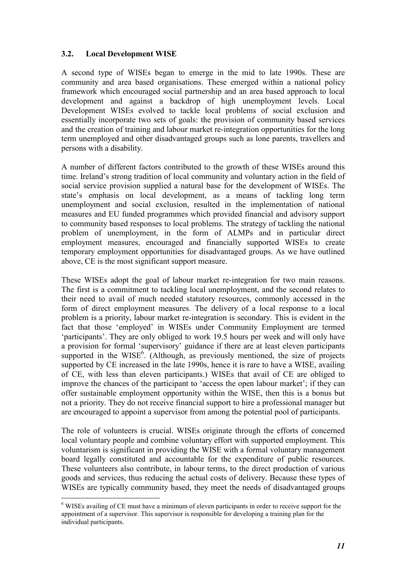#### 3.2. Local Development WISE

A second type of WISEs began to emerge in the mid to late 1990s. These are community and area based organisations. These emerged within a national policy framework which encouraged social partnership and an area based approach to local development and against a backdrop of high unemployment levels. Local Development WISEs evolved to tackle local problems of social exclusion and essentially incorporate two sets of goals: the provision of community based services and the creation of training and labour market re-integration opportunities for the long term unemployed and other disadvantaged groups such as lone parents, travellers and persons with a disability.

A number of different factors contributed to the growth of these WISEs around this time. Ireland's strong tradition of local community and voluntary action in the field of social service provision supplied a natural base for the development of WISEs. The state's emphasis on local development, as a means of tackling long term unemployment and social exclusion, resulted in the implementation of national measures and EU funded programmes which provided financial and advisory support to community based responses to local problems. The strategy of tackling the national problem of unemployment, in the form of ALMPs and in particular direct employment measures, encouraged and financially supported WISEs to create temporary employment opportunities for disadvantaged groups. As we have outlined above, CE is the most significant support measure.

These WISEs adopt the goal of labour market re-integration for two main reasons. The first is a commitment to tackling local unemployment, and the second relates to their need to avail of much needed statutory resources, commonly accessed in the form of direct employment measures. The delivery of a local response to a local problem is a priority, labour market re-integration is secondary. This is evident in the fact that those 'employed' in WISEs under Community Employment are termed 'participants'. They are only obliged to work 19.5 hours per week and will only have a provision for formal 'supervisory' guidance if there are at least eleven participants supported in the WISE $<sup>6</sup>$ . (Although, as previously mentioned, the size of projects</sup> supported by CE increased in the late 1990s, hence it is rare to have a WISE, availing of CE, with less than eleven participants.) WISEs that avail of CE are obliged to improve the chances of the participant to 'access the open labour market'; if they can offer sustainable employment opportunity within the WISE, then this is a bonus but not a priority. They do not receive financial support to hire a professional manager but are encouraged to appoint a supervisor from among the potential pool of participants.

The role of volunteers is crucial. WISEs originate through the efforts of concerned local voluntary people and combine voluntary effort with supported employment. This voluntarism is significant in providing the WISE with a formal voluntary management board legally constituted and accountable for the expenditure of public resources. These volunteers also contribute, in labour terms, to the direct production of various goods and services, thus reducing the actual costs of delivery. Because these types of WISEs are typically community based, they meet the needs of disadvantaged groups

 $\overline{a}$ <sup>6</sup> WISEs availing of CE must have a minimum of eleven participants in order to receive support for the appointment of a supervisor. This supervisor is responsible for developing a training plan for the individual participants.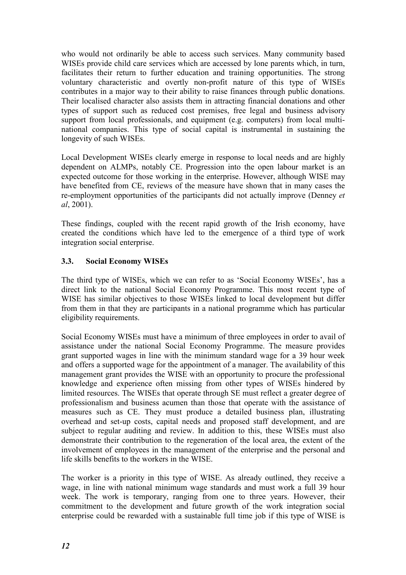who would not ordinarily be able to access such services. Many community based WISEs provide child care services which are accessed by lone parents which, in turn, facilitates their return to further education and training opportunities. The strong voluntary characteristic and overtly non-profit nature of this type of WISEs contributes in a major way to their ability to raise finances through public donations. Their localised character also assists them in attracting financial donations and other types of support such as reduced cost premises, free legal and business advisory support from local professionals, and equipment (e.g. computers) from local multinational companies. This type of social capital is instrumental in sustaining the longevity of such WISEs.

Local Development WISEs clearly emerge in response to local needs and are highly dependent on ALMPs, notably CE. Progression into the open labour market is an expected outcome for those working in the enterprise. However, although WISE may have benefited from CE, reviews of the measure have shown that in many cases the re-employment opportunities of the participants did not actually improve (Denney et al, 2001).

These findings, coupled with the recent rapid growth of the Irish economy, have created the conditions which have led to the emergence of a third type of work integration social enterprise.

### 3.3. Social Economy WISEs

The third type of WISEs, which we can refer to as 'Social Economy WISEs', has a direct link to the national Social Economy Programme. This most recent type of WISE has similar objectives to those WISEs linked to local development but differ from them in that they are participants in a national programme which has particular eligibility requirements.

Social Economy WISEs must have a minimum of three employees in order to avail of assistance under the national Social Economy Programme. The measure provides grant supported wages in line with the minimum standard wage for a 39 hour week and offers a supported wage for the appointment of a manager. The availability of this management grant provides the WISE with an opportunity to procure the professional knowledge and experience often missing from other types of WISEs hindered by limited resources. The WISEs that operate through SE must reflect a greater degree of professionalism and business acumen than those that operate with the assistance of measures such as CE. They must produce a detailed business plan, illustrating overhead and set-up costs, capital needs and proposed staff development, and are subject to regular auditing and review. In addition to this, these WISEs must also demonstrate their contribution to the regeneration of the local area, the extent of the involvement of employees in the management of the enterprise and the personal and life skills benefits to the workers in the WISE.

The worker is a priority in this type of WISE. As already outlined, they receive a wage, in line with national minimum wage standards and must work a full 39 hour week. The work is temporary, ranging from one to three years. However, their commitment to the development and future growth of the work integration social enterprise could be rewarded with a sustainable full time job if this type of WISE is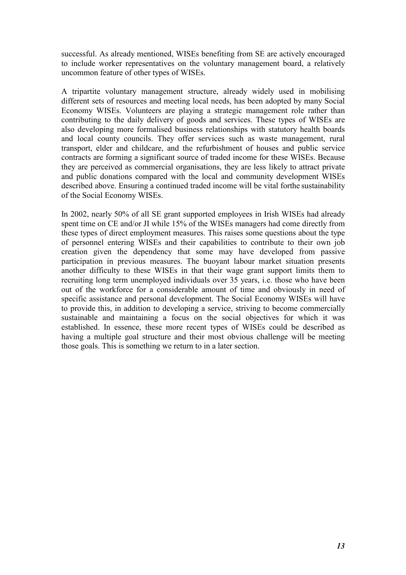successful. As already mentioned, WISEs benefiting from SE are actively encouraged to include worker representatives on the voluntary management board, a relatively uncommon feature of other types of WISEs.

A tripartite voluntary management structure, already widely used in mobilising different sets of resources and meeting local needs, has been adopted by many Social Economy WISEs. Volunteers are playing a strategic management role rather than contributing to the daily delivery of goods and services. These types of WISEs are also developing more formalised business relationships with statutory health boards and local county councils. They offer services such as waste management, rural transport, elder and childcare, and the refurbishment of houses and public service contracts are forming a significant source of traded income for these WISEs. Because they are perceived as commercial organisations, they are less likely to attract private and public donations compared with the local and community development WISEs described above. Ensuring a continued traded income will be vital forthe sustainability of the Social Economy WISEs.

In 2002, nearly 50% of all SE grant supported employees in Irish WISEs had already spent time on CE and/or JI while 15% of the WISEs managers had come directly from these types of direct employment measures. This raises some questions about the type of personnel entering WISEs and their capabilities to contribute to their own job creation given the dependency that some may have developed from passive participation in previous measures. The buoyant labour market situation presents another difficulty to these WISEs in that their wage grant support limits them to recruiting long term unemployed individuals over 35 years, i.e. those who have been out of the workforce for a considerable amount of time and obviously in need of specific assistance and personal development. The Social Economy WISEs will have to provide this, in addition to developing a service, striving to become commercially sustainable and maintaining a focus on the social objectives for which it was established. In essence, these more recent types of WISEs could be described as having a multiple goal structure and their most obvious challenge will be meeting those goals. This is something we return to in a later section.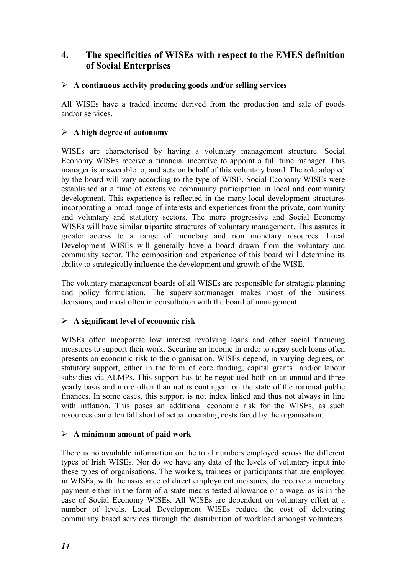## 4. The specificities of WISEs with respect to the EMES definition of Social Enterprises

#### $\triangleright$  A continuous activity producing goods and/or selling services

All WISEs have a traded income derived from the production and sale of goods and/or services.

### $\triangleright$  A high degree of autonomy

WISEs are characterised by having a voluntary management structure. Social Economy WISEs receive a financial incentive to appoint a full time manager. This manager is answerable to, and acts on behalf of this voluntary board. The role adopted by the board will vary according to the type of WISE. Social Economy WISEs were established at a time of extensive community participation in local and community development. This experience is reflected in the many local development structures incorporating a broad range of interests and experiences from the private, community and voluntary and statutory sectors. The more progressive and Social Economy WISEs will have similar tripartite structures of voluntary management. This assures it greater access to a range of monetary and non monetary resources. Local Development WISEs will generally have a board drawn from the voluntary and community sector. The composition and experience of this board will determine its ability to strategically influence the development and growth of the WISE.

The voluntary management boards of all WISEs are responsible for strategic planning and policy formulation. The supervisor/manager makes most of the business decisions, and most often in consultation with the board of management.

#### $\triangleright$  A significant level of economic risk

WISEs often incoporate low interest revolving loans and other social financing measures to support their work. Securing an income in order to repay such loans often presents an economic risk to the organisation. WISEs depend, in varying degrees, on statutory support, either in the form of core funding, capital grants and/or labour subsidies via ALMPs. This support has to be negotiated both on an annual and three yearly basis and more often than not is contingent on the state of the national public finances. In some cases, this support is not index linked and thus not always in line with inflation. This poses an additional economic risk for the WISEs, as such resources can often fall short of actual operating costs faced by the organisation.

#### $\triangleright$  A minimum amount of paid work

There is no available information on the total numbers employed across the different types of Irish WISEs. Nor do we have any data of the levels of voluntary input into these types of organisations. The workers, trainees or participants that are employed in WISEs, with the assistance of direct employment measures, do receive a monetary payment either in the form of a state means tested allowance or a wage, as is in the case of Social Economy WISEs. All WISEs are dependent on voluntary effort at a number of levels. Local Development WISEs reduce the cost of delivering community based services through the distribution of workload amongst volunteers.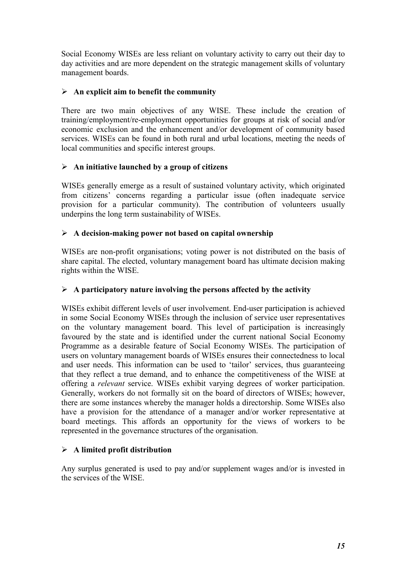Social Economy WISEs are less reliant on voluntary activity to carry out their day to day activities and are more dependent on the strategic management skills of voluntary management boards.

### $\triangleright$  An explicit aim to benefit the community

There are two main objectives of any WISE. These include the creation of training/employment/re-employment opportunities for groups at risk of social and/or economic exclusion and the enhancement and/or development of community based services. WISEs can be found in both rural and urbal locations, meeting the needs of local communities and specific interest groups.

### $\triangleright$  An initiative launched by a group of citizens

WISEs generally emerge as a result of sustained voluntary activity, which originated from citizens' concerns regarding a particular issue (often inadequate service provision for a particular community). The contribution of volunteers usually underpins the long term sustainability of WISEs.

### $\triangleright$  A decision-making power not based on capital ownership

WISEs are non-profit organisations; voting power is not distributed on the basis of share capital. The elected, voluntary management board has ultimate decision making rights within the WISE.

#### $\triangleright$  A participatory nature involving the persons affected by the activity

WISEs exhibit different levels of user involvement. End-user participation is achieved in some Social Economy WISEs through the inclusion of service user representatives on the voluntary management board. This level of participation is increasingly favoured by the state and is identified under the current national Social Economy Programme as a desirable feature of Social Economy WISEs. The participation of users on voluntary management boards of WISEs ensures their connectedness to local and user needs. This information can be used to 'tailor' services, thus guaranteeing that they reflect a true demand, and to enhance the competitiveness of the WISE at offering a relevant service. WISEs exhibit varying degrees of worker participation. Generally, workers do not formally sit on the board of directors of WISEs; however, there are some instances whereby the manager holds a directorship. Some WISEs also have a provision for the attendance of a manager and/or worker representative at board meetings. This affords an opportunity for the views of workers to be represented in the governance structures of the organisation.

#### $\triangleright$  A limited profit distribution

Any surplus generated is used to pay and/or supplement wages and/or is invested in the services of the WISE.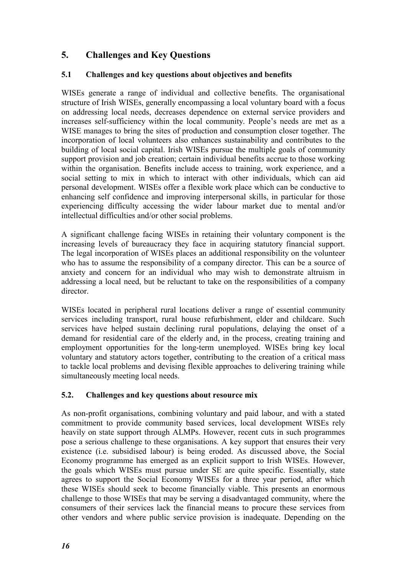## 5. Challenges and Key Questions

### 5.1 Challenges and key questions about objectives and benefits

WISEs generate a range of individual and collective benefits. The organisational structure of Irish WISEs, generally encompassing a local voluntary board with a focus on addressing local needs, decreases dependence on external service providers and increases self-sufficiency within the local community. People's needs are met as a WISE manages to bring the sites of production and consumption closer together. The incorporation of local volunteers also enhances sustainability and contributes to the building of local social capital. Irish WISEs pursue the multiple goals of community support provision and job creation; certain individual benefits accrue to those working within the organisation. Benefits include access to training, work experience, and a social setting to mix in which to interact with other individuals, which can aid personal development. WISEs offer a flexible work place which can be conductive to enhancing self confidence and improving interpersonal skills, in particular for those experiencing difficulty accessing the wider labour market due to mental and/or intellectual difficulties and/or other social problems.

A significant challenge facing WISEs in retaining their voluntary component is the increasing levels of bureaucracy they face in acquiring statutory financial support. The legal incorporation of WISEs places an additional responsibility on the volunteer who has to assume the responsibility of a company director. This can be a source of anxiety and concern for an individual who may wish to demonstrate altruism in addressing a local need, but be reluctant to take on the responsibilities of a company director.

WISEs located in peripheral rural locations deliver a range of essential community services including transport, rural house refurbishment, elder and childcare. Such services have helped sustain declining rural populations, delaying the onset of a demand for residential care of the elderly and, in the process, creating training and employment opportunities for the long-term unemployed. WISEs bring key local voluntary and statutory actors together, contributing to the creation of a critical mass to tackle local problems and devising flexible approaches to delivering training while simultaneously meeting local needs.

#### 5.2. Challenges and key questions about resource mix

As non-profit organisations, combining voluntary and paid labour, and with a stated commitment to provide community based services, local development WISEs rely heavily on state support through ALMPs. However, recent cuts in such programmes pose a serious challenge to these organisations. A key support that ensures their very existence (i.e. subsidised labour) is being eroded. As discussed above, the Social Economy programme has emerged as an explicit support to Irish WISEs. However, the goals which WISEs must pursue under SE are quite specific. Essentially, state agrees to support the Social Economy WISEs for a three year period, after which these WISEs should seek to become financially viable. This presents an enormous challenge to those WISEs that may be serving a disadvantaged community, where the consumers of their services lack the financial means to procure these services from other vendors and where public service provision is inadequate. Depending on the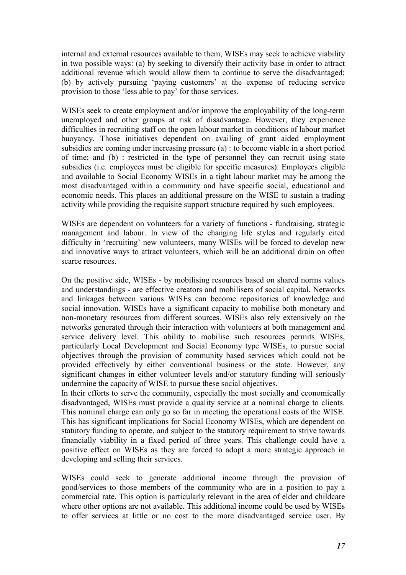internal and external resources available to them, WISEs may seek to achieve viability in two possible ways: (a) by seeking to diversify their activity base in order to attract additional revenue which would allow them to continue to serve the disadvantaged; (b) by actively pursuing 'paying customers' at the expense of reducing service provision to those 'less able to pay' for those services.

WISEs seek to create employment and/or improve the employability of the long-term unemployed and other groups at risk of disadvantage. However, they experience difficulties in recruiting staff on the open labour market in conditions of labour market buoyancy. Those initiatives dependent on availing of grant aided employment subsidies are coming under increasing pressure (a) : to become viable in a short period of time; and (b) : restricted in the type of personnel they can recruit using state subsidies (i.e. employees must be eligible for specific measures). Employees eligible and available to Social Economy WISEs in a tight labour market may be among the most disadvantaged within a community and have specific social, educational and economic needs. This places an additional pressure on the WISE to sustain a trading activity while providing the requisite support structure required by such employees.

WISEs are dependent on volunteers for a variety of functions - fundraising, strategic management and labour. In view of the changing life styles and regularly cited difficulty in 'recruiting' new volunteers, many WISEs will be forced to develop new and innovative ways to attract volunteers, which will be an additional drain on often scarce resources.

On the positive side, WISEs - by mobilising resources based on shared norms values and understandings - are effective creators and mobilisers of social capital. Networks and linkages between various WISEs can become repositories of knowledge and social innovation. WISEs have a significant capacity to mobilise both monetary and non-monetary resources from different sources. WISEs also rely extensively on the networks generated through their interaction with volunteers at both management and service delivery level. This ability to mobilise such resources permits WISEs, particularly Local Development and Social Economy type WISEs, to pursue social objectives through the provision of community based services which could not be provided effectively by either conventional business or the state. However, any significant changes in either volunteer levels and/or statutory funding will seriously undermine the capacity of WISE to pursue these social objectives.

In their efforts to serve the community, especially the most socially and economically disadvantaged, WISEs must provide a quality service at a nominal charge to clients. This nominal charge can only go so far in meeting the operational costs of the WISE. This has significant implications for Social Economy WISEs, which are dependent on statutory funding to operate, and subject to the statutory requirement to strive towards financially viability in a fixed period of three years. This challenge could have a positive effect on WISEs as they are forced to adopt a more strategic approach in developing and selling their services.

WISEs could seek to generate additional income through the provision of good/services to those members of the community who are in a position to pay a commercial rate. This option is particularly relevant in the area of elder and childcare where other options are not available. This additional income could be used by WISEs to offer services at little or no cost to the more disadvantaged service user. By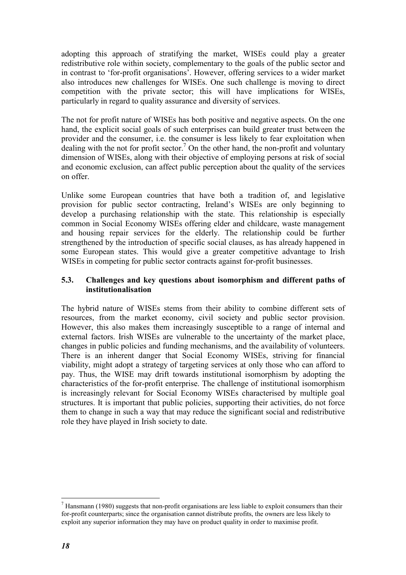adopting this approach of stratifying the market, WISEs could play a greater redistributive role within society, complementary to the goals of the public sector and in contrast to 'for-profit organisations'. However, offering services to a wider market also introduces new challenges for WISEs. One such challenge is moving to direct competition with the private sector; this will have implications for WISEs, particularly in regard to quality assurance and diversity of services.

The not for profit nature of WISEs has both positive and negative aspects. On the one hand, the explicit social goals of such enterprises can build greater trust between the provider and the consumer, i.e. the consumer is less likely to fear exploitation when dealing with the not for profit sector.<sup>7</sup> On the other hand, the non-profit and voluntary dimension of WISEs, along with their objective of employing persons at risk of social and economic exclusion, can affect public perception about the quality of the services on offer.

Unlike some European countries that have both a tradition of, and legislative provision for public sector contracting, Ireland's WISEs are only beginning to develop a purchasing relationship with the state. This relationship is especially common in Social Economy WISEs offering elder and childcare, waste management and housing repair services for the elderly. The relationship could be further strengthened by the introduction of specific social clauses, as has already happened in some European states. This would give a greater competitive advantage to Irish WISEs in competing for public sector contracts against for-profit businesses.

#### 5.3. Challenges and key questions about isomorphism and different paths of institutionalisation

The hybrid nature of WISEs stems from their ability to combine different sets of resources, from the market economy, civil society and public sector provision. However, this also makes them increasingly susceptible to a range of internal and external factors. Irish WISEs are vulnerable to the uncertainty of the market place, changes in public policies and funding mechanisms, and the availability of volunteers. There is an inherent danger that Social Economy WISEs, striving for financial viability, might adopt a strategy of targeting services at only those who can afford to pay. Thus, the WISE may drift towards institutional isomorphism by adopting the characteristics of the for-profit enterprise. The challenge of institutional isomorphism is increasingly relevant for Social Economy WISEs characterised by multiple goal structures. It is important that public policies, supporting their activities, do not force them to change in such a way that may reduce the significant social and redistributive role they have played in Irish society to date.

 $\overline{a}$  $<sup>7</sup>$  Hansmann (1980) suggests that non-profit organisations are less liable to exploit consumers than their</sup> for-profit counterparts; since the organisation cannot distribute profits, the owners are less likely to exploit any superior information they may have on product quality in order to maximise profit.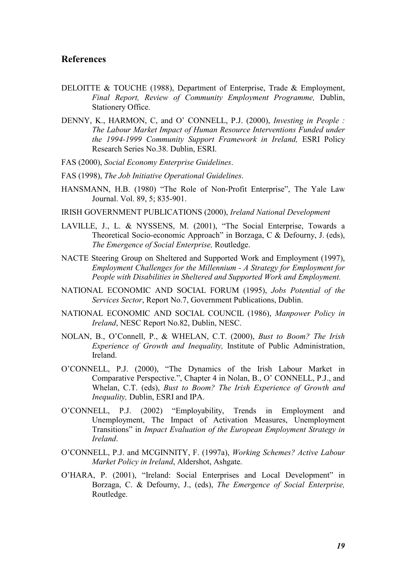#### References

- DELOITTE & TOUCHE (1988), Department of Enterprise, Trade & Employment, Final Report, Review of Community Employment Programme, Dublin, Stationery Office.
- DENNY, K., HARMON, C, and O' CONNELL, P.J. (2000), *Investing in People* : The Labour Market Impact of Human Resource Interventions Funded under the 1994-1999 Community Support Framework in Ireland, ESRI Policy Research Series No.38. Dublin, ESRI.
- FAS (2000), Social Economy Enterprise Guidelines.
- FAS (1998), The Job Initiative Operational Guidelines.
- HANSMANN, H.B. (1980) "The Role of Non-Profit Enterprise", The Yale Law Journal. Vol. 89, 5; 835-901.
- IRISH GOVERNMENT PUBLICATIONS (2000), Ireland National Development
- LAVILLE, J., L. & NYSSENS, M. (2001), "The Social Enterprise, Towards a Theoretical Socio-economic Approach" in Borzaga, C & Defourny, J. (eds), The Emergence of Social Enterprise, Routledge.
- NACTE Steering Group on Sheltered and Supported Work and Employment (1997), Employment Challenges for the Millennium - A Strategy for Employment for People with Disabilities in Sheltered and Supported Work and Employment.
- NATIONAL ECONOMIC AND SOCIAL FORUM (1995), Jobs Potential of the Services Sector, Report No.7, Government Publications, Dublin.
- NATIONAL ECONOMIC AND SOCIAL COUNCIL (1986), Manpower Policy in Ireland, NESC Report No.82, Dublin, NESC.
- NOLAN, B., O'Connell, P., & WHELAN, C.T. (2000), Bust to Boom? The Irish Experience of Growth and Inequality, Institute of Public Administration, Ireland.
- O'CONNELL, P.J. (2000), "The Dynamics of the Irish Labour Market in Comparative Perspective.", Chapter 4 in Nolan, B., O' CONNELL, P.J., and Whelan, C.T. (eds), Bust to Boom? The Irish Experience of Growth and Inequality, Dublin, ESRI and IPA.
- O'CONNELL, P.J. (2002) "Employability, Trends in Employment and Unemployment, The Impact of Activation Measures, Unemployment Transitions" in Impact Evaluation of the European Employment Strategy in Ireland.
- O'CONNELL, P.J. and MCGINNITY, F. (1997a), Working Schemes? Active Labour Market Policy in Ireland, Aldershot, Ashgate.
- O'HARA, P. (2001), "Ireland: Social Enterprises and Local Development" in Borzaga, C. & Defourny, J., (eds), The Emergence of Social Enterprise, Routledge.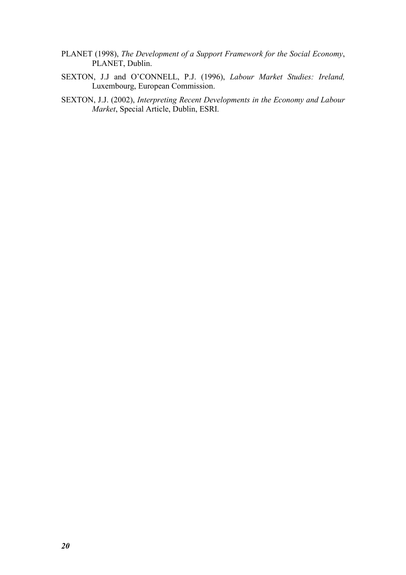- PLANET (1998), The Development of a Support Framework for the Social Economy, PLANET, Dublin.
- SEXTON, J.J and O'CONNELL, P.J. (1996), Labour Market Studies: Ireland, Luxembourg, European Commission.
- SEXTON, J.J. (2002), Interpreting Recent Developments in the Economy and Labour Market, Special Article, Dublin, ESRI.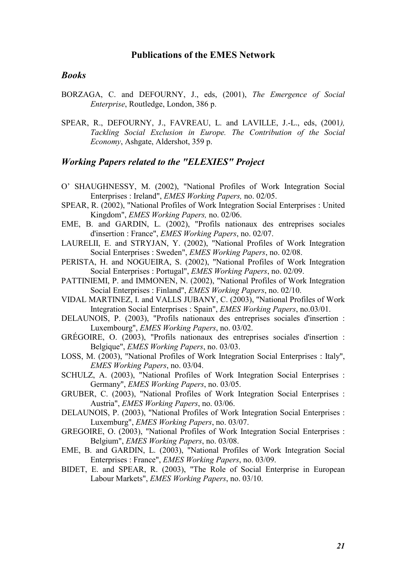#### Publications of the EMES Network

#### Books

- BORZAGA, C. and DEFOURNY, J., eds, (2001), The Emergence of Social Enterprise, Routledge, London, 386 p.
- SPEAR, R., DEFOURNY, J., FAVREAU, L. and LAVILLE, J.-L., eds, (2001), Tackling Social Exclusion in Europe. The Contribution of the Social Economy, Ashgate, Aldershot, 359 p.

#### Working Papers related to the "ELEXIES" Project

- O' SHAUGHNESSY, M. (2002), "National Profiles of Work Integration Social Enterprises : Ireland", EMES Working Papers, no. 02/05.
- SPEAR, R. (2002), "National Profiles of Work Integration Social Enterprises : United Kingdom", EMES Working Papers, no. 02/06.
- EME, B. and GARDIN, L. (2002), "Profils nationaux des entreprises sociales d'insertion : France", EMES Working Papers, no. 02/07.
- LAURELII, E. and STRYJAN, Y. (2002), "National Profiles of Work Integration Social Enterprises : Sweden", EMES Working Papers, no. 02/08.
- PERISTA, H. and NOGUEIRA, S. (2002), "National Profiles of Work Integration Social Enterprises : Portugal", EMES Working Papers, no. 02/09.
- PATTINIEMI, P. and IMMONEN, N. (2002), "National Profiles of Work Integration Social Enterprises : Finland", EMES Working Papers, no. 02/10.
- VIDAL MARTINEZ, I. and VALLS JUBANY, C. (2003), "National Profiles of Work Integration Social Enterprises : Spain", EMES Working Papers, no.03/01.
- DELAUNOIS, P. (2003), "Profils nationaux des entreprises sociales d'insertion : Luxembourg", EMES Working Papers, no. 03/02.
- GRÉGOIRE, O. (2003), "Profils nationaux des entreprises sociales d'insertion : Belgique", EMES Working Papers, no. 03/03.
- LOSS, M. (2003), "National Profiles of Work Integration Social Enterprises : Italy", EMES Working Papers, no. 03/04.
- SCHULZ, A. (2003), "National Profiles of Work Integration Social Enterprises : Germany", EMES Working Papers, no. 03/05.
- GRUBER, C. (2003), "National Profiles of Work Integration Social Enterprises : Austria", EMES Working Papers, no. 03/06.
- DELAUNOIS, P. (2003), "National Profiles of Work Integration Social Enterprises : Luxemburg", EMES Working Papers, no. 03/07.
- GREGOIRE, O. (2003), "National Profiles of Work Integration Social Enterprises : Belgium", EMES Working Papers, no. 03/08.
- EME, B. and GARDIN, L. (2003), "National Profiles of Work Integration Social Enterprises : France", EMES Working Papers, no. 03/09.
- BIDET, E. and SPEAR, R. (2003), "The Role of Social Enterprise in European Labour Markets", EMES Working Papers, no. 03/10.